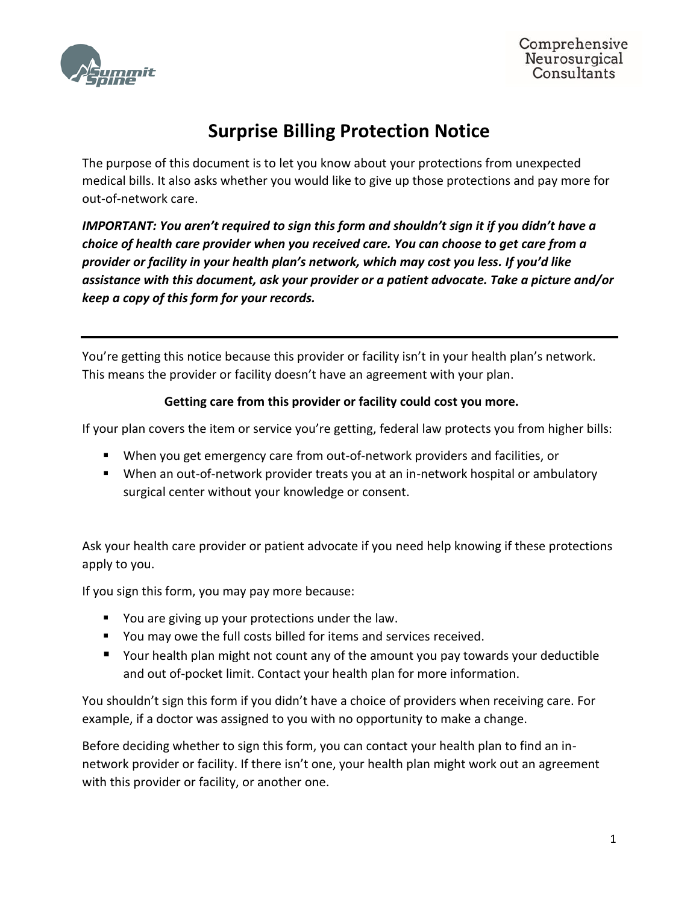

Comprehensive Neurosurgical Consultants

# **Surprise Billing Protection Notice**

The purpose of this document is to let you know about your protections from unexpected medical bills. It also asks whether you would like to give up those protections and pay more for out-of-network care.

*IMPORTANT: You aren't required to sign this form and shouldn't sign it if you didn't have a choice of health care provider when you received care. You can choose to get care from a provider or facility in your health plan's network, which may cost you less. If you'd like assistance with this document, ask your provider or a patient advocate. Take a picture and/or keep a copy of this form for your records.*

You're getting this notice because this provider or facility isn't in your health plan's network. This means the provider or facility doesn't have an agreement with your plan.

## **Getting care from this provider or facility could cost you more.**

If your plan covers the item or service you're getting, federal law protects you from higher bills:

- When you get emergency care from out-of-network providers and facilities, or
- When an out-of-network provider treats you at an in-network hospital or ambulatory surgical center without your knowledge or consent.

Ask your health care provider or patient advocate if you need help knowing if these protections apply to you.

If you sign this form, you may pay more because:

- You are giving up your protections under the law.
- You may owe the full costs billed for items and services received.
- Your health plan might not count any of the amount you pay towards your deductible and out of-pocket limit. Contact your health plan for more information.

You shouldn't sign this form if you didn't have a choice of providers when receiving care. For example, if a doctor was assigned to you with no opportunity to make a change.

Before deciding whether to sign this form, you can contact your health plan to find an innetwork provider or facility. If there isn't one, your health plan might work out an agreement with this provider or facility, or another one.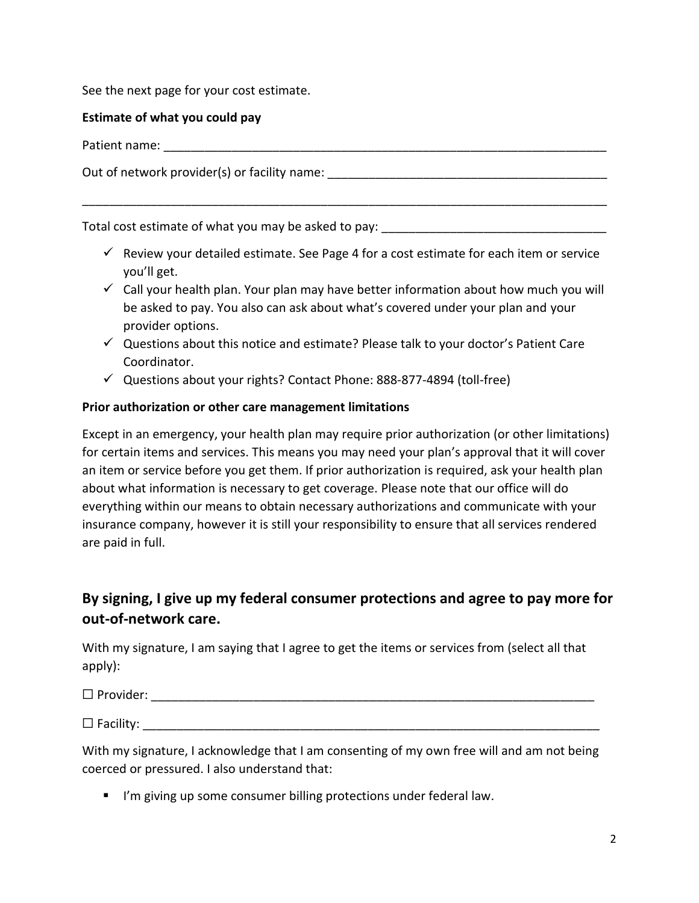See the next page for your cost estimate.

#### **Estimate of what you could pay**

Patient name: \_\_\_\_\_\_\_\_\_\_\_\_\_\_\_\_\_\_\_\_\_\_\_\_\_\_\_\_\_\_\_\_\_\_\_\_\_\_\_\_\_\_\_\_\_\_\_\_\_\_\_\_\_\_\_\_\_\_\_\_\_\_\_\_\_

Out of network provider(s) or facility name: \_\_\_\_\_\_\_\_\_\_\_\_\_\_\_\_\_\_\_\_\_\_\_\_\_\_\_\_\_\_\_\_\_\_\_

Total cost estimate of what you may be asked to pay:

 $\checkmark$  Review your detailed estimate. See Page 4 for a cost estimate for each item or service you'll get.

\_\_\_\_\_\_\_\_\_\_\_\_\_\_\_\_\_\_\_\_\_\_\_\_\_\_\_\_\_\_\_\_\_\_\_\_\_\_\_\_\_\_\_\_\_\_\_\_\_\_\_\_\_\_\_\_\_\_\_\_\_\_\_\_\_\_\_\_\_\_\_\_\_\_\_\_\_

- $\checkmark$  Call your health plan. Your plan may have better information about how much you will be asked to pay. You also can ask about what's covered under your plan and your provider options.
- $\checkmark$  Questions about this notice and estimate? Please talk to your doctor's Patient Care Coordinator.
- ✓ Questions about your rights? Contact Phone: 888-877-4894 (toll-free)

### **Prior authorization or other care management limitations**

Except in an emergency, your health plan may require prior authorization (or other limitations) for certain items and services. This means you may need your plan's approval that it will cover an item or service before you get them. If prior authorization is required, ask your health plan about what information is necessary to get coverage. Please note that our office will do everything within our means to obtain necessary authorizations and communicate with your insurance company, however it is still your responsibility to ensure that all services rendered are paid in full.

# **By signing, I give up my federal consumer protections and agree to pay more for out-of-network care.**

With my signature, I am saying that I agree to get the items or services from (select all that apply):

☐ Provider: \_\_\_\_\_\_\_\_\_\_\_\_\_\_\_\_\_\_\_\_\_\_\_\_\_\_\_\_\_\_\_\_\_\_\_\_\_\_\_\_\_\_\_\_\_\_\_\_\_\_\_\_\_\_\_\_\_\_\_\_\_\_\_\_\_

 $\Box$  Facility:

With my signature, I acknowledge that I am consenting of my own free will and am not being coerced or pressured. I also understand that:

■ I'm giving up some consumer billing protections under federal law.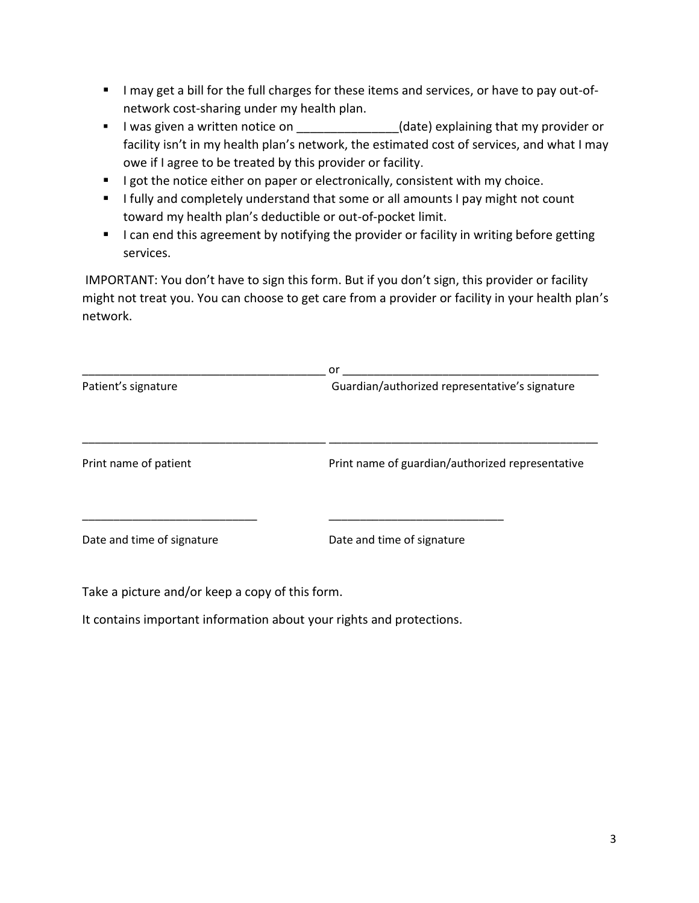- I may get a bill for the full charges for these items and services, or have to pay out-ofnetwork cost-sharing under my health plan.
- I was given a written notice on  $\qquad \qquad$  (date) explaining that my provider or facility isn't in my health plan's network, the estimated cost of services, and what I may owe if I agree to be treated by this provider or facility.
- **EXT** I got the notice either on paper or electronically, consistent with my choice.
- **E** I fully and completely understand that some or all amounts I pay might not count toward my health plan's deductible or out-of-pocket limit.
- I can end this agreement by notifying the provider or facility in writing before getting services.

IMPORTANT: You don't have to sign this form. But if you don't sign, this provider or facility might not treat you. You can choose to get care from a provider or facility in your health plan's network.

|                            | or                                               |  |
|----------------------------|--------------------------------------------------|--|
| Patient's signature        | Guardian/authorized representative's signature   |  |
| Print name of patient      | Print name of guardian/authorized representative |  |
| Date and time of signature | Date and time of signature                       |  |

Take a picture and/or keep a copy of this form.

It contains important information about your rights and protections.